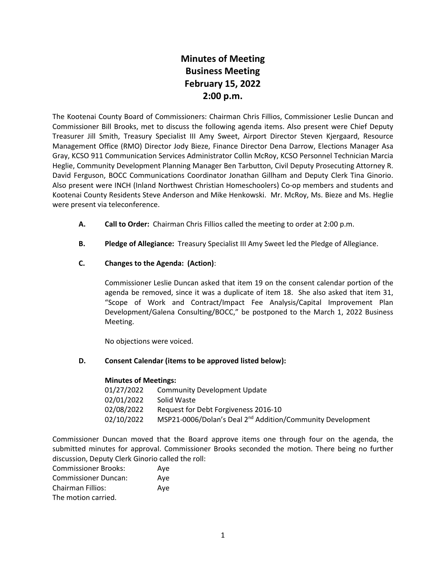# **Minutes of Meeting Business Meeting February 15, 2022 2:00 p.m.**

The Kootenai County Board of Commissioners: Chairman Chris Fillios, Commissioner Leslie Duncan and Commissioner Bill Brooks, met to discuss the following agenda items. Also present were Chief Deputy Treasurer Jill Smith, Treasury Specialist III Amy Sweet, Airport Director Steven Kjergaard, Resource Management Office (RMO) Director Jody Bieze, Finance Director Dena Darrow, Elections Manager Asa Gray, KCSO 911 Communication Services Administrator Collin McRoy, KCSO Personnel Technician Marcia Heglie, Community Development Planning Manager Ben Tarbutton, Civil Deputy Prosecuting Attorney R. David Ferguson, BOCC Communications Coordinator Jonathan Gillham and Deputy Clerk Tina Ginorio. Also present were INCH (Inland Northwest Christian Homeschoolers) Co-op members and students and Kootenai County Residents Steve Anderson and Mike Henkowski. Mr. McRoy, Ms. Bieze and Ms. Heglie were present via teleconference.

- **A. Call to Order:** Chairman Chris Fillios called the meeting to order at 2:00 p.m.
- **B. Pledge of Allegiance:** Treasury Specialist III Amy Sweet led the Pledge of Allegiance.
- **C. Changes to the Agenda: (Action)**:

Commissioner Leslie Duncan asked that item 19 on the consent calendar portion of the agenda be removed, since it was a duplicate of item 18. She also asked that item 31, "Scope of Work and Contract/Impact Fee Analysis/Capital Improvement Plan Development/Galena Consulting/BOCC," be postponed to the March 1, 2022 Business Meeting.

No objections were voiced.

# **D. Consent Calendar (items to be approved listed below):**

# **Minutes of Meetings:**

| 01/27/2022 | Community Development Update                                           |
|------------|------------------------------------------------------------------------|
| 02/01/2022 | Solid Waste                                                            |
| 02/08/2022 | Request for Debt Forgiveness 2016-10                                   |
| 02/10/2022 | MSP21-0006/Dolan's Deal 2 <sup>nd</sup> Addition/Community Development |

Commissioner Duncan moved that the Board approve items one through four on the agenda, the submitted minutes for approval. Commissioner Brooks seconded the motion. There being no further discussion, Deputy Clerk Ginorio called the roll:

| <b>Commissioner Brooks:</b> | Ave |
|-----------------------------|-----|
| <b>Commissioner Duncan:</b> | Ave |
| <b>Chairman Fillios:</b>    | Ave |
| The motion carried.         |     |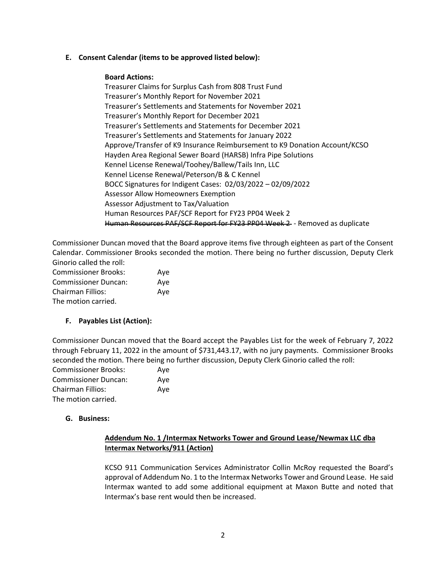### **E. Consent Calendar (items to be approved listed below):**

#### **Board Actions:**

Treasurer Claims for Surplus Cash from 808 Trust Fund Treasurer's Monthly Report for November 2021 Treasurer's Settlements and Statements for November 2021 Treasurer's Monthly Report for December 2021 Treasurer's Settlements and Statements for December 2021 Treasurer's Settlements and Statements for January 2022 Approve/Transfer of K9 Insurance Reimbursement to K9 Donation Account/KCSO Hayden Area Regional Sewer Board (HARSB) Infra Pipe Solutions Kennel License Renewal/Toohey/Ballew/Tails Inn, LLC Kennel License Renewal/Peterson/B & C Kennel BOCC Signatures for Indigent Cases: 02/03/2022 – 02/09/2022 Assessor Allow Homeowners Exemption Assessor Adjustment to Tax/Valuation Human Resources PAF/SCF Report for FY23 PP04 Week 2 Human Resources PAF/SCF Report for FY23 PP04 Week 2 - Removed as duplicate

Commissioner Duncan moved that the Board approve items five through eighteen as part of the Consent Calendar. Commissioner Brooks seconded the motion. There being no further discussion, Deputy Clerk Ginorio called the roll: Commissioner Brooks: Aye

Commissioner Duncan: Aye Chairman Fillios: Aye The motion carried.

# **F. Payables List (Action):**

Commissioner Duncan moved that the Board accept the Payables List for the week of February 7, 2022 through February 11, 2022 in the amount of \$731,443.17, with no jury payments. Commissioner Brooks seconded the motion. There being no further discussion, Deputy Clerk Ginorio called the roll:

| <b>Commissioner Brooks:</b> | Ave |
|-----------------------------|-----|
| <b>Commissioner Duncan:</b> | Aye |
| Chairman Fillios:           | Ave |
| The motion carried.         |     |

# **G. Business:**

# **Addendum No. 1 /Intermax Networks Tower and Ground Lease/Newmax LLC dba Intermax Networks/911 (Action)**

KCSO 911 Communication Services Administrator Collin McRoy requested the Board's approval of Addendum No. 1 to the Intermax Networks Tower and Ground Lease. He said Intermax wanted to add some additional equipment at Maxon Butte and noted that Intermax's base rent would then be increased.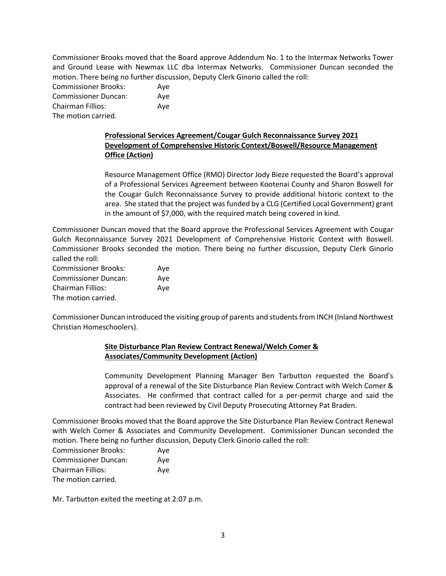Commissioner Brooks moved that the Board approve Addendum No. 1 to the Intermax Networks Tower and Ground Lease with Newmax LLC dba Intermax Networks. Commissioner Duncan seconded the motion. There being no further discussion, Deputy Clerk Ginorio called the roll:

Commissioner Brooks: Aye Commissioner Duncan: Aye Chairman Fillios: Aye The motion carried.

# **Professional Services Agreement/Cougar Gulch Reconnaissance Survey 2021 Development of Comprehensive Historic Context/Boswell/Resource Management Office (Action)**

Resource Management Office (RMO) Director Jody Bieze requested the Board's approval of a Professional Services Agreement between Kootenai County and Sharon Boswell for the Cougar Gulch Reconnaissance Survey to provide additional historic context to the area. She stated that the project was funded by a CLG (Certified Local Government) grant in the amount of \$7,000, with the required match being covered in kind.

Commissioner Duncan moved that the Board approve the Professional Services Agreement with Cougar Gulch Reconnaissance Survey 2021 Development of Comprehensive Historic Context with Boswell. Commissioner Brooks seconded the motion. There being no further discussion, Deputy Clerk Ginorio called the roll:

| <b>Commissioner Brooks:</b> | Aye |
|-----------------------------|-----|
| <b>Commissioner Duncan:</b> | Ave |
| <b>Chairman Fillios:</b>    | Ave |
| The motion carried.         |     |

Commissioner Duncan introduced the visiting group of parents and students from INCH (Inland Northwest Christian Homeschoolers).

# **Site Disturbance Plan Review Contract Renewal/Welch Comer & Associates/Community Development (Action)**

Community Development Planning Manager Ben Tarbutton requested the Board's approval of a renewal of the Site Disturbance Plan Review Contract with Welch Comer & Associates. He confirmed that contract called for a per-permit charge and said the contract had been reviewed by Civil Deputy Prosecuting Attorney Pat Braden.

Commissioner Brooks moved that the Board approve the Site Disturbance Plan Review Contract Renewal with Welch Comer & Associates and Community Development. Commissioner Duncan seconded the motion. There being no further discussion, Deputy Clerk Ginorio called the roll:

| <b>Commissioner Brooks:</b> | Aye |
|-----------------------------|-----|
| <b>Commissioner Duncan:</b> | Aye |
| Chairman Fillios:           | Aye |
| The motion carried.         |     |

Mr. Tarbutton exited the meeting at 2:07 p.m.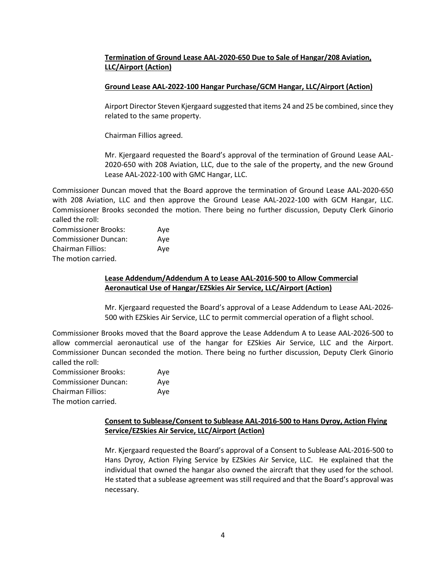# **Termination of Ground Lease AAL-2020-650 Due to Sale of Hangar/208 Aviation, LLC/Airport (Action)**

# **Ground Lease AAL-2022-100 Hangar Purchase/GCM Hangar, LLC/Airport (Action)**

Airport Director Steven Kjergaard suggested that items 24 and 25 be combined, since they related to the same property.

Chairman Fillios agreed.

Mr. Kjergaard requested the Board's approval of the termination of Ground Lease AAL-2020-650 with 208 Aviation, LLC, due to the sale of the property, and the new Ground Lease AAL-2022-100 with GMC Hangar, LLC.

Commissioner Duncan moved that the Board approve the termination of Ground Lease AAL-2020-650 with 208 Aviation, LLC and then approve the Ground Lease AAL-2022-100 with GCM Hangar, LLC. Commissioner Brooks seconded the motion. There being no further discussion, Deputy Clerk Ginorio called the roll:

Commissioner Brooks: Aye Commissioner Duncan: Aye Chairman Fillios: Aye The motion carried.

# **Lease Addendum/Addendum A to Lease AAL-2016-500 to Allow Commercial Aeronautical Use of Hangar/EZSkies Air Service, LLC/Airport (Action)**

Mr. Kjergaard requested the Board's approval of a Lease Addendum to Lease AAL-2026- 500 with EZSkies Air Service, LLC to permit commercial operation of a flight school.

Commissioner Brooks moved that the Board approve the Lease Addendum A to Lease AAL-2026-500 to allow commercial aeronautical use of the hangar for EZSkies Air Service, LLC and the Airport. Commissioner Duncan seconded the motion. There being no further discussion, Deputy Clerk Ginorio called the roll:

| <b>Commissioner Brooks:</b> | Ave |
|-----------------------------|-----|
| <b>Commissioner Duncan:</b> | Ave |
| Chairman Fillios:           | Ave |
| The motion carried.         |     |

# **Consent to Sublease/Consent to Sublease AAL-2016-500 to Hans Dyroy, Action Flying Service/EZSkies Air Service, LLC/Airport (Action)**

Mr. Kjergaard requested the Board's approval of a Consent to Sublease AAL-2016-500 to Hans Dyroy, Action Flying Service by EZSkies Air Service, LLC. He explained that the individual that owned the hangar also owned the aircraft that they used for the school. He stated that a sublease agreement was still required and that the Board's approval was necessary.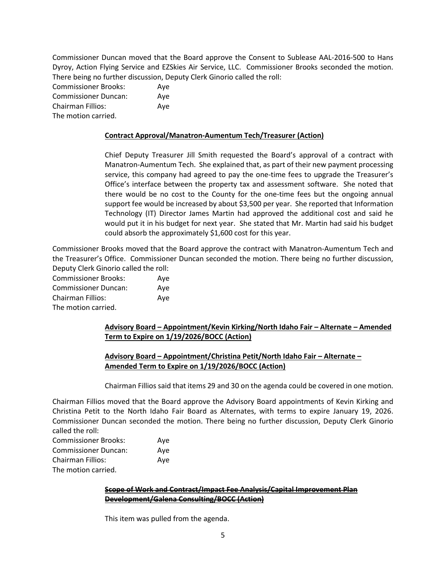Commissioner Duncan moved that the Board approve the Consent to Sublease AAL-2016-500 to Hans Dyroy, Action Flying Service and EZSkies Air Service, LLC. Commissioner Brooks seconded the motion. There being no further discussion, Deputy Clerk Ginorio called the roll:

Commissioner Brooks: Aye Commissioner Duncan: Aye Chairman Fillios: Aye The motion carried.

#### **Contract Approval/Manatron-Aumentum Tech/Treasurer (Action)**

Chief Deputy Treasurer Jill Smith requested the Board's approval of a contract with Manatron-Aumentum Tech. She explained that, as part of their new payment processing service, this company had agreed to pay the one-time fees to upgrade the Treasurer's Office's interface between the property tax and assessment software. She noted that there would be no cost to the County for the one-time fees but the ongoing annual support fee would be increased by about \$3,500 per year. She reported that Information Technology (IT) Director James Martin had approved the additional cost and said he would put it in his budget for next year. She stated that Mr. Martin had said his budget could absorb the approximately \$1,600 cost for this year.

Commissioner Brooks moved that the Board approve the contract with Manatron-Aumentum Tech and the Treasurer's Office. Commissioner Duncan seconded the motion. There being no further discussion, Deputy Clerk Ginorio called the roll:

Commissioner Brooks: Aye Commissioner Duncan: Aye Chairman Fillios: Aye The motion carried.

# **Advisory Board – Appointment/Kevin Kirking/North Idaho Fair – Alternate – Amended Term to Expire on 1/19/2026/BOCC (Action)**

# **Advisory Board – Appointment/Christina Petit/North Idaho Fair – Alternate – Amended Term to Expire on 1/19/2026/BOCC (Action)**

Chairman Fillios said that items 29 and 30 on the agenda could be covered in one motion.

Chairman Fillios moved that the Board approve the Advisory Board appointments of Kevin Kirking and Christina Petit to the North Idaho Fair Board as Alternates, with terms to expire January 19, 2026. Commissioner Duncan seconded the motion. There being no further discussion, Deputy Clerk Ginorio called the roll:

| <b>Commissioner Brooks:</b> | Ave |
|-----------------------------|-----|
| <b>Commissioner Duncan:</b> | Ave |
| <b>Chairman Fillios:</b>    | Ave |
| The motion carried.         |     |

#### **Scope of Work and Contract/Impact Fee Analysis/Capital Improvement Plan Development/Galena Consulting/BOCC (Action)**

This item was pulled from the agenda.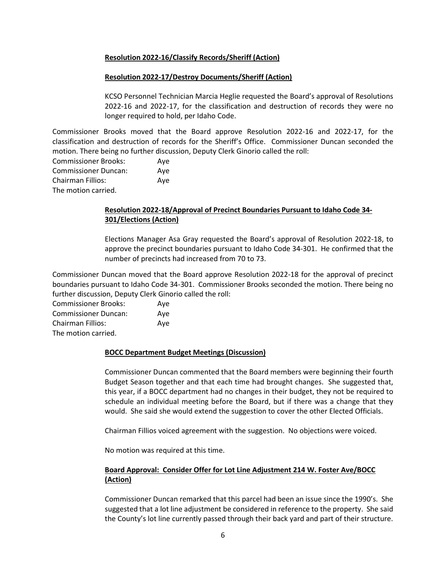# **Resolution 2022-16/Classify Records/Sheriff (Action)**

# **Resolution 2022-17/Destroy Documents/Sheriff (Action)**

KCSO Personnel Technician Marcia Heglie requested the Board's approval of Resolutions 2022-16 and 2022-17, for the classification and destruction of records they were no longer required to hold, per Idaho Code.

Commissioner Brooks moved that the Board approve Resolution 2022-16 and 2022-17, for the classification and destruction of records for the Sheriff's Office. Commissioner Duncan seconded the motion. There being no further discussion, Deputy Clerk Ginorio called the roll:

| <b>Commissioner Brooks:</b> | Ave |
|-----------------------------|-----|
| <b>Commissioner Duncan:</b> | Aye |
| <b>Chairman Fillios:</b>    | Ave |
| The motion carried.         |     |

# **Resolution 2022-18/Approval of Precinct Boundaries Pursuant to Idaho Code 34- 301/Elections (Action)**

Elections Manager Asa Gray requested the Board's approval of Resolution 2022-18, to approve the precinct boundaries pursuant to Idaho Code 34-301. He confirmed that the number of precincts had increased from 70 to 73.

Commissioner Duncan moved that the Board approve Resolution 2022-18 for the approval of precinct boundaries pursuant to Idaho Code 34-301. Commissioner Brooks seconded the motion. There being no further discussion, Deputy Clerk Ginorio called the roll:

| <b>Commissioner Brooks:</b> | Aye |
|-----------------------------|-----|
| <b>Commissioner Duncan:</b> | Aye |
| Chairman Fillios:           | Aye |
| The motion carried.         |     |

# **BOCC Department Budget Meetings (Discussion)**

Commissioner Duncan commented that the Board members were beginning their fourth Budget Season together and that each time had brought changes. She suggested that, this year, if a BOCC department had no changes in their budget, they not be required to schedule an individual meeting before the Board, but if there was a change that they would. She said she would extend the suggestion to cover the other Elected Officials.

Chairman Fillios voiced agreement with the suggestion. No objections were voiced.

No motion was required at this time.

# **Board Approval: Consider Offer for Lot Line Adjustment 214 W. Foster Ave/BOCC (Action)**

Commissioner Duncan remarked that this parcel had been an issue since the 1990's. She suggested that a lot line adjustment be considered in reference to the property. She said the County's lot line currently passed through their back yard and part of their structure.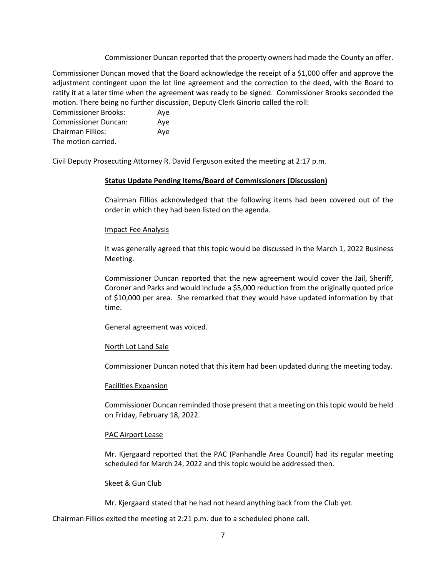Commissioner Duncan reported that the property owners had made the County an offer.

Commissioner Duncan moved that the Board acknowledge the receipt of a \$1,000 offer and approve the adjustment contingent upon the lot line agreement and the correction to the deed, with the Board to ratify it at a later time when the agreement was ready to be signed. Commissioner Brooks seconded the motion. There being no further discussion, Deputy Clerk Ginorio called the roll:

Commissioner Brooks: Aye Commissioner Duncan: Aye Chairman Fillios: Aye The motion carried.

Civil Deputy Prosecuting Attorney R. David Ferguson exited the meeting at 2:17 p.m.

#### **Status Update Pending Items/Board of Commissioners (Discussion)**

Chairman Fillios acknowledged that the following items had been covered out of the order in which they had been listed on the agenda.

#### Impact Fee Analysis

It was generally agreed that this topic would be discussed in the March 1, 2022 Business Meeting.

Commissioner Duncan reported that the new agreement would cover the Jail, Sheriff, Coroner and Parks and would include a \$5,000 reduction from the originally quoted price of \$10,000 per area. She remarked that they would have updated information by that time.

General agreement was voiced.

# North Lot Land Sale

Commissioner Duncan noted that this item had been updated during the meeting today.

#### Facilities Expansion

Commissioner Duncan reminded those present that a meeting on this topic would be held on Friday, February 18, 2022.

#### PAC Airport Lease

Mr. Kjergaard reported that the PAC (Panhandle Area Council) had its regular meeting scheduled for March 24, 2022 and this topic would be addressed then.

#### Skeet & Gun Club

Mr. Kjergaard stated that he had not heard anything back from the Club yet.

Chairman Fillios exited the meeting at 2:21 p.m. due to a scheduled phone call.